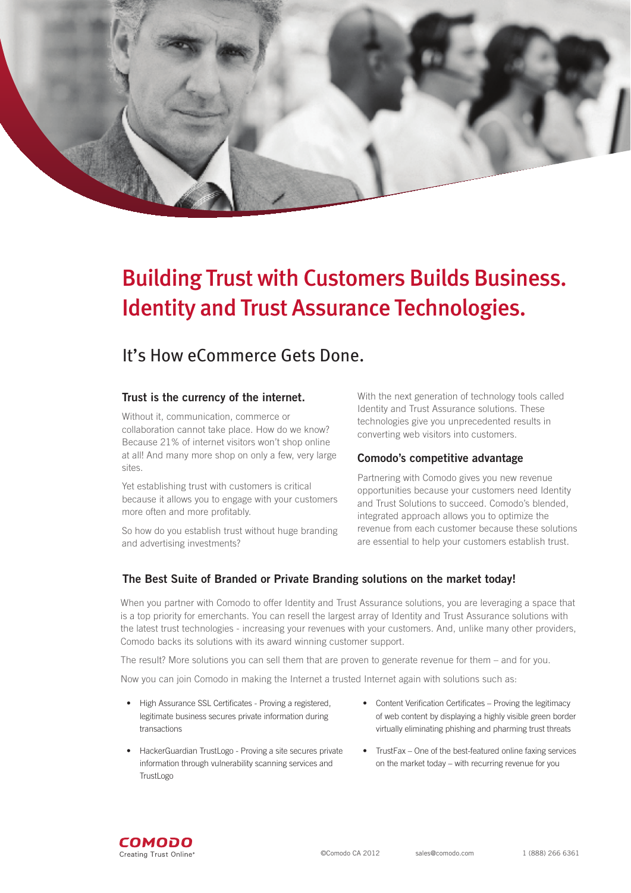

# Building Trust with Customers Builds Business. Identity and Trust Assurance Technologies.

# It's How eCommerce Gets Done.

### **Trust is the currency of the internet.**

Without it, communication, commerce or collaboration cannot take place. How do we know? Because 21% of internet visitors won't shop online at all! And many more shop on only a few, very large sites.

Yet establishing trust with customers is critical because it allows you to engage with your customers more often and more profitably.

So how do you establish trust without huge branding and advertising investments?

With the next generation of technology tools called Identity and Trust Assurance solutions. These technologies give you unprecedented results in converting web visitors into customers.

### **Comodo's competitive advantage**

Partnering with Comodo gives you new revenue opportunities because your customers need Identity and Trust Solutions to succeed. Comodo's blended, integrated approach allows you to optimize the revenue from each customer because these solutions are essential to help your customers establish trust.

### **The Best Suite of Branded or Private Branding solutions on the market today!**

When you partner with Comodo to offer Identity and Trust Assurance solutions, you are leveraging a space that is a top priority for emerchants. You can resell the largest array of Identity and Trust Assurance solutions with the latest trust technologies - increasing your revenues with your customers. And, unlike many other providers, Comodo backs its solutions with its award winning customer support.

The result? More solutions you can sell them that are proven to generate revenue for them – and for you.

Now you can join Comodo in making the Internet a trusted Internet again with solutions such as:

- High Assurance SSL Certificates Proving a registered, legitimate business secures private information during transactions
- HackerGuardian TrustLogo Proving a site secures private information through vulnerability scanning services and **TrustLogo**
- Content Verification Certificates Proving the legitimacy of web content by displaying a highly visible green border virtually eliminating phishing and pharming trust threats
- TrustFax One of the best-featured online faxing services on the market today – with recurring revenue for you